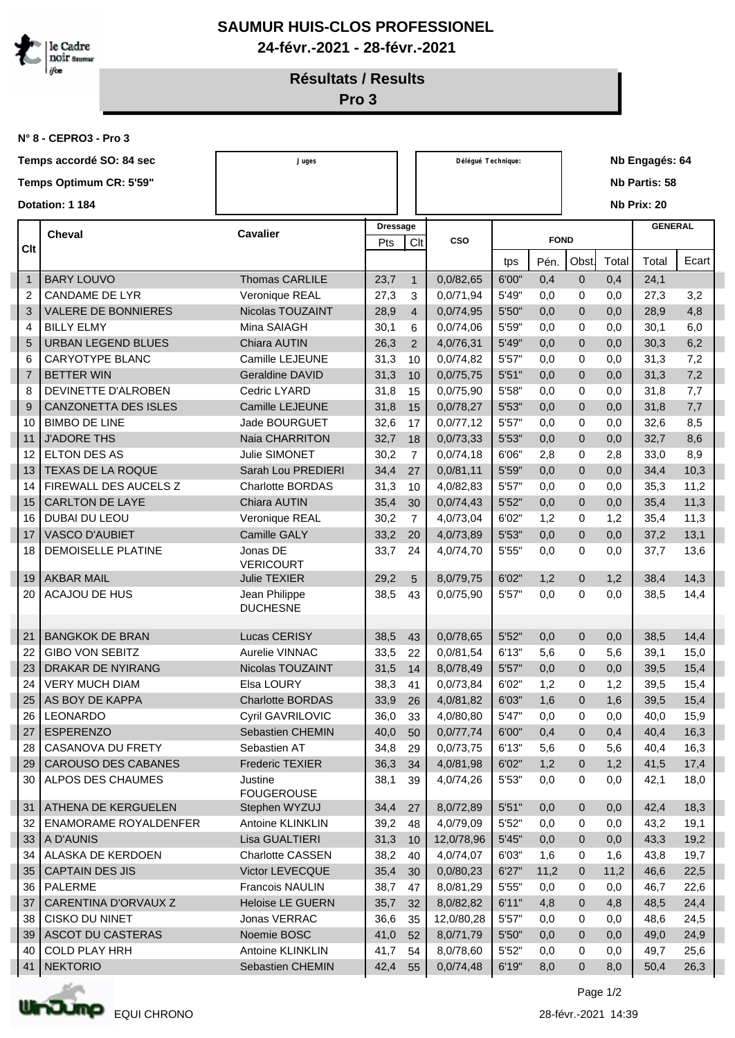

## **SAUMUR HUIS-CLOS PROFESSIONEL 24-févr.-2021 - 28-févr.-2021**

**Résultats / Results**

**Pro 3**

**N° 8 - CEPRO3 - Pro 3**

|                         | Temps accordé SO: 84 sec     | Juges                            |                 |                | Délégué Technique: |       |             |                      | Nb Engagés: 64 |                |       |  |  |  |
|-------------------------|------------------------------|----------------------------------|-----------------|----------------|--------------------|-------|-------------|----------------------|----------------|----------------|-------|--|--|--|
| Temps Optimum CR: 5'59" |                              |                                  |                 |                |                    |       |             | <b>Nb Partis: 58</b> |                |                |       |  |  |  |
|                         |                              |                                  |                 |                |                    |       |             |                      |                |                |       |  |  |  |
| Dotation: 1 184         |                              |                                  |                 |                |                    |       |             |                      |                | Nb Prix: 20    |       |  |  |  |
| <b>Cheval</b><br>Clt    |                              | <b>Cavalier</b>                  | <b>Dressage</b> |                |                    |       |             |                      |                | <b>GENERAL</b> |       |  |  |  |
|                         |                              |                                  | Pts             | Clt            | <b>CSO</b>         |       | <b>FOND</b> |                      |                |                |       |  |  |  |
|                         |                              |                                  |                 |                |                    | tps   | Pén.        | <b>Obst</b>          | Total          | Total          | Ecart |  |  |  |
| $\mathbf{1}$            | <b>BARY LOUVO</b>            | <b>Thomas CARLILE</b>            | 23,7            | $\mathbf{1}$   | 0,0/82,65          | 6'00" | 0,4         | $\mathbf{0}$         | 0,4            | 24,1           |       |  |  |  |
| 2                       | <b>CANDAME DE LYR</b>        | Veronique REAL                   | 27,3            | 3              | 0,0/71,94          | 5'49" | 0,0         | 0                    | 0,0            | 27,3           | 3,2   |  |  |  |
| 3                       | <b>VALERE DE BONNIERES</b>   | Nicolas TOUZAINT                 | 28,9            | $\overline{4}$ | 0,0/74,95          | 5'50" | 0,0         | $\mathbf 0$          | 0,0            | 28,9           | 4,8   |  |  |  |
| 4                       | <b>BILLY ELMY</b>            | Mina SAIAGH                      | 30,1            | 6              | 0,0/74,06          | 5'59" | 0,0         | 0                    | 0,0            | 30,1           | 6,0   |  |  |  |
| 5                       | <b>URBAN LEGEND BLUES</b>    | Chiara AUTIN                     | 26,3            | 2              | 4,0/76,31          | 5'49" | 0,0         | $\mathbf{0}$         | 0,0            | 30,3           | 6,2   |  |  |  |
| 6                       | <b>CARYOTYPE BLANC</b>       | Camille LEJEUNE                  | 31,3            | 10             | 0,0/74,82          | 5'57" | 0,0         | $\mathbf 0$          | 0,0            | 31,3           | 7,2   |  |  |  |
| $\overline{7}$          | <b>BETTER WIN</b>            | <b>Geraldine DAVID</b>           | 31,3            | 10             | 0,0/75,75          | 5'51" | 0,0         | $\mathbf{0}$         | 0,0            | 31,3           | 7,2   |  |  |  |
| 8                       | DEVINETTE D'ALROBEN          | Cedric LYARD                     | 31,8            | 15             | 0,0/75,90          | 5'58" | 0,0         | $\mathbf 0$          | 0,0            | 31,8           | 7,7   |  |  |  |
| 9                       | CANZONETTA DES ISLES         | Camille LEJEUNE                  | 31,8            | 15             | 0,0/78,27          | 5'53" | 0,0         | $\mathbf 0$          | 0,0            | 31,8           | 7,7   |  |  |  |
| 10                      | <b>BIMBO DE LINE</b>         | <b>Jade BOURGUET</b>             | 32,6            | 17             | 0,0/77,12          | 5'57" | 0,0         | 0                    | 0,0            | 32,6           | 8,5   |  |  |  |
| 11                      | <b>J'ADORE THS</b>           | Naia CHARRITON                   | 32,7            | 18             | 0,0/73,33          | 5'53" | 0,0         | $\mathbf 0$          | 0,0            | 32,7           | 8,6   |  |  |  |
| 12                      | ELTON DES AS                 | <b>Julie SIMONET</b>             | 30,2            | $\overline{7}$ | 0,0/74,18          | 6'06" | 2,8         | $\mathbf 0$          | 2,8            | 33,0           | 8,9   |  |  |  |
| 13                      | <b>TEXAS DE LA ROQUE</b>     | Sarah Lou PREDIERI               | 34,4            | 27             | 0,0/81,11          | 5'59" | 0,0         | $\mathbf 0$          | 0,0            | 34,4           | 10,3  |  |  |  |
| 14                      | FIREWALL DES AUCELS Z        | <b>Charlotte BORDAS</b>          | 31,3            | 10             | 4,0/82,83          | 5'57" | 0,0         | 0                    | 0,0            | 35,3           | 11,2  |  |  |  |
| 15                      | <b>CARLTON DE LAYE</b>       | Chiara AUTIN                     | 35,4            | 30             | 0,0/74,43          | 5'52" | 0,0         | $\mathbf{0}$         | 0,0            | 35,4           | 11,3  |  |  |  |
| 16                      | DUBAI DU LEOU                | Veronique REAL                   | 30,2            | $\overline{7}$ | 4,0/73,04          | 6'02" | 1,2         | 0                    | 1,2            | 35,4           | 11,3  |  |  |  |
| 17                      | <b>VASCO D'AUBIET</b>        | <b>Camille GALY</b>              | 33,2            | 20             | 4,0/73,89          | 5'53" | 0,0         | $\mathbf{0}$         | 0,0            | 37,2           | 13,1  |  |  |  |
| 18                      | DEMOISELLE PLATINE           | Jonas DE<br><b>VERICOURT</b>     | 33,7            | 24             | 4,0/74,70          | 5'55" | 0,0         | 0                    | 0,0            | 37,7           | 13,6  |  |  |  |
| 19                      | <b>AKBAR MAIL</b>            | <b>Julie TEXIER</b>              | 29,2            | $\overline{5}$ | 8,0/79,75          | 6'02" | 1,2         | $\mathbf 0$          | 1,2            | 38,4           | 14,3  |  |  |  |
| 20                      | <b>ACAJOU DE HUS</b>         | Jean Philippe<br><b>DUCHESNE</b> | 38,5            | 43             | 0,0/75,90          | 5'57" | 0,0         | 0                    | 0,0            | 38,5           | 14,4  |  |  |  |
| 21                      | <b>BANGKOK DE BRAN</b>       | Lucas CERISY                     | 38,5            | 43             | 0,0/78,65          | 5'52" | 0,0         | $\mathbf{0}$         | 0,0            | 38,5           | 14,4  |  |  |  |
| 22                      | <b>GIBO VON SEBITZ</b>       | Aurelie VINNAC                   | 33,5            | 22             | 0,0/81,54          | 6'13" | 5,6         | 0                    | 5,6            | 39,1           | 15,0  |  |  |  |
| 23                      | <b>DRAKAR DE NYIRANG</b>     | Nicolas TOUZAINT                 | 31,5            | 14             | 8,0/78,49          | 5'57" | 0,0         | $\mathbf 0$          | 0,0            | 39,5           | 15,4  |  |  |  |
| 24                      | <b>VERY MUCH DIAM</b>        | Elsa LOURY                       | 38,3            | 41             | 0,0/73,84          | 6'02" | 1,2         | 0                    | 1,2            | 39,5           | 15,4  |  |  |  |
| 25                      | AS BOY DE KAPPA              | <b>Charlotte BORDAS</b>          | 33,9            | 26             | 4,0/81,82          | 6'03" | 1,6         | 0                    | 1,6            | 39,5           | 15,4  |  |  |  |
| 26                      | LEONARDO                     | Cyril GAVRILOVIC                 | 36,0            | 33             | 4,0/80,80          | 5'47" | 0,0         | 0                    | 0,0            | 40,0           | 15,9  |  |  |  |
| 27                      | <b>ESPERENZO</b>             | Sebastien CHEMIN                 | 40,0            | 50             | 0,0/77,74          | 6'00" | 0,4         | $\mathbf 0$          | 0,4            | 40,4           | 16,3  |  |  |  |
| 28                      | CASANOVA DU FRETY            | Sebastien AT                     | 34,8            | 29             | 0,0/73,75          | 6'13" | 5,6         | 0                    | 5,6            | 40,4           | 16,3  |  |  |  |
| 29                      | CAROUSO DES CABANES          | <b>Frederic TEXIER</b>           | 36,3            | 34             | 4,0/81,98          | 6'02" | 1,2         | $\mathbf 0$          | 1,2            | 41,5           | 17,4  |  |  |  |
| 30                      | ALPOS DES CHAUMES            | Justine<br><b>FOUGEROUSE</b>     | 38,1            | 39             | 4,0/74,26          | 5'53" | 0,0         | 0                    | 0,0            | 42,1           | 18,0  |  |  |  |
| 31                      | ATHENA DE KERGUELEN          | Stephen WYZUJ                    | 34,4            | 27             | 8,0/72,89          | 5'51" | 0,0         | $\mathbf 0$          | 0,0            | 42,4           | 18,3  |  |  |  |
| 32                      | <b>ENAMORAME ROYALDENFER</b> | Antoine KLINKLIN                 | 39,2            | 48             | 4,0/79,09          | 5'52" | 0,0         | 0                    | 0,0            | 43,2           | 19,1  |  |  |  |
| 33                      | A D'AUNIS                    | Lisa GUALTIERI                   | 31,3            | 10             | 12,0/78,96         | 5'45" | 0,0         | $\mathbf 0$          | 0,0            | 43,3           | 19,2  |  |  |  |
| 34                      | ALASKA DE KERDOEN            | <b>Charlotte CASSEN</b>          | 38,2            | 40             | 4,0/74,07          | 6'03" | 1,6         | 0                    | 1,6            | 43,8           | 19,7  |  |  |  |
| 35                      | <b>CAPTAIN DES JIS</b>       | Victor LEVECQUE                  | 35,4            | 30             | 0,0/80,23          | 6'27" | 11,2        | $\overline{0}$       | 11,2           | 46,6           | 22,5  |  |  |  |
| 36                      | PALERME                      | Francois NAULIN                  | 38,7            | 47             | 8,0/81,29          | 5'55" | 0,0         | 0                    | 0,0            | 46,7           | 22,6  |  |  |  |
| 37                      | CARENTINA D'ORVAUX Z         | Heloise LE GUERN                 | 35,7            | 32             | 8,0/82,82          | 6'11" | 4,8         | $\mathbf 0$          | 4,8            | 48,5           | 24,4  |  |  |  |
| 38                      | CISKO DU NINET               | Jonas VERRAC                     | 36,6            | 35             | 12,0/80,28         | 5'57" | 0,0         | 0                    | 0,0            | 48,6           | 24,5  |  |  |  |
| 39                      | ASCOT DU CASTERAS            | Noemie BOSC                      | 41,0            | 52             | 8,0/71,79          | 5'50" | 0,0         | $\overline{0}$       | 0,0            | 49,0           | 24,9  |  |  |  |
| 40                      | <b>COLD PLAY HRH</b>         | Antoine KLINKLIN                 | 41,7            | 54             | 8,0/78,60          | 5'52" | 0,0         | 0                    | 0,0            | 49,7           | 25,6  |  |  |  |
| 41                      | <b>NEKTORIO</b>              | Sebastien CHEMIN                 | 42,4            | 55             | 0,0/74,48          | 6'19" | 8,0         | $\mathbf{0}$         | 8,0            | 50,4           | 26,3  |  |  |  |



Page 1/2